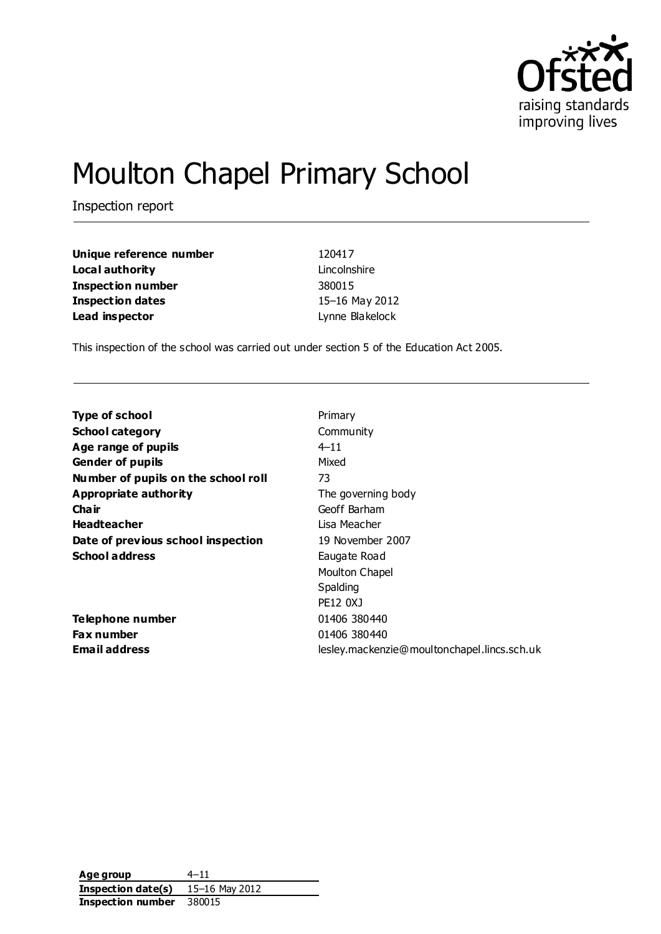

# Moulton Chapel Primary School

Inspection report

| Unique reference number | 120417          |
|-------------------------|-----------------|
| Local authority         | Lincolnshire    |
| Inspection number       | 380015          |
| Inspection dates        | 15-16 May 2012  |
| Lead inspector          | Lynne Blakelock |

This inspection of the school was carried out under section 5 of the Education Act 2005.

| <b>Type of school</b>               | Primary                                     |
|-------------------------------------|---------------------------------------------|
| <b>School category</b>              | Community                                   |
| Age range of pupils                 | $4 - 11$                                    |
| <b>Gender of pupils</b>             | Mixed                                       |
| Number of pupils on the school roll | 73                                          |
| Appropriate authority               | The governing body                          |
| Cha ir                              | Geoff Barham                                |
| <b>Headteacher</b>                  | Lisa Meacher                                |
| Date of previous school inspection  | 19 November 2007                            |
| <b>School address</b>               | Eaugate Road                                |
|                                     | Moulton Chapel                              |
|                                     | Spalding                                    |
|                                     | PE12 0XJ                                    |
| Telephone number                    | 01406 380440                                |
| <b>Fax number</b>                   | 01406 380440                                |
| <b>Email address</b>                | lesley.mackenzie@moultonchapel.lincs.sch.uk |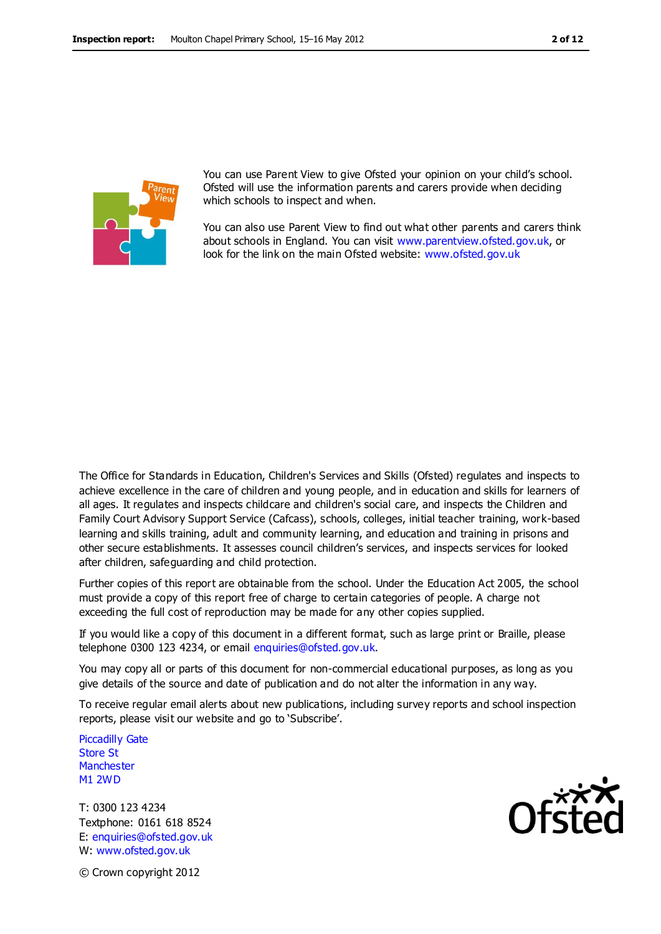

You can use Parent View to give Ofsted your opinion on your child's school. Ofsted will use the information parents and carers provide when deciding which schools to inspect and when.

You can also use Parent View to find out what other parents and carers think about schools in England. You can visit [www.parentview.ofsted.gov.uk,](http://www.parentview.ofsted.gov.uk/) or look for the link on the main Ofsted website: [www.ofsted.gov.uk](http://www.ofsted.gov.uk/)

The Office for Standards in Education, Children's Services and Skills (Ofsted) regulates and inspects to achieve excellence in the care of children and young people, and in education and skills for learners of all ages. It regulates and inspects childcare and children's social care, and inspects the Children and Family Court Advisory Support Service (Cafcass), schools, colleges, initial teacher training, work-based learning and skills training, adult and community learning, and education and training in prisons and other secure establishments. It assesses council children's services, and inspects services for looked after children, safeguarding and child protection.

Further copies of this report are obtainable from the school. Under the Education Act 2005, the school must provide a copy of this report free of charge to certain categories of people. A charge not exceeding the full cost of reproduction may be made for any other copies supplied.

If you would like a copy of this document in a different format, such as large print or Braille, please telephone 0300 123 4234, or email enquiries@ofsted.gov.uk.

You may copy all or parts of this document for non-commercial educational purposes, as long as you give details of the source and date of publication and do not alter the information in any way.

To receive regular email alerts about new publications, including survey reports and school inspection reports, please visit our website and go to 'Subscribe'.

Piccadilly Gate Store St **Manchester** M1 2WD

T: 0300 123 4234 Textphone: 0161 618 8524 E: enquiries@ofsted.gov.uk W: www.ofsted.gov.uk



© Crown copyright 2012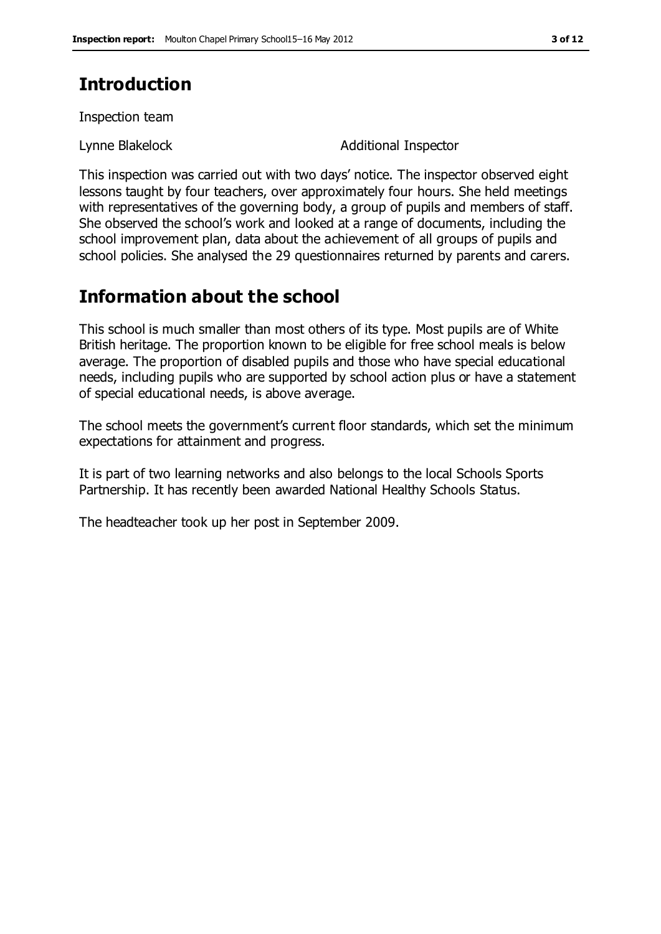# **Introduction**

Inspection team

Lynne Blakelock **Additional Inspector** 

This inspection was carried out with two days' notice. The inspector observed eight lessons taught by four teachers, over approximately four hours. She held meetings with representatives of the governing body, a group of pupils and members of staff. She observed the school's work and looked at a range of documents, including the school improvement plan, data about the achievement of all groups of pupils and school policies. She analysed the 29 questionnaires returned by parents and carers.

# **Information about the school**

This school is much smaller than most others of its type. Most pupils are of White British heritage. The proportion known to be eligible for free school meals is below average. The proportion of disabled pupils and those who have special educational needs, including pupils who are supported by school action plus or have a statement of special educational needs, is above average.

The school meets the government's current floor standards, which set the minimum expectations for attainment and progress.

It is part of two learning networks and also belongs to the local Schools Sports Partnership. It has recently been awarded National Healthy Schools Status.

The headteacher took up her post in September 2009.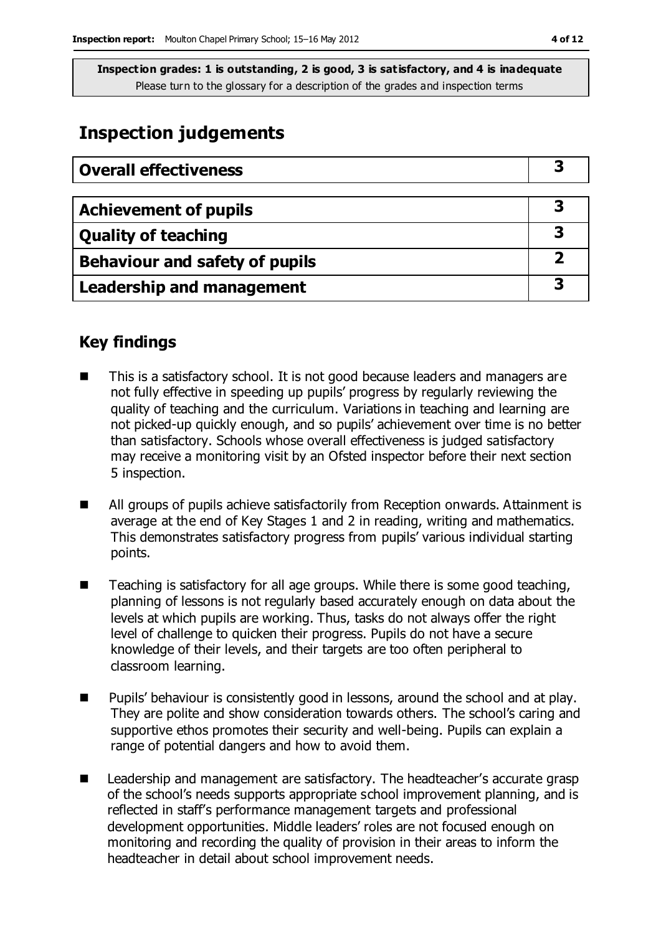# **Inspection judgements**

| <b>Overall effectiveness</b>     |  |
|----------------------------------|--|
|                                  |  |
| <b>Achievement of pupils</b>     |  |
| <b>Quality of teaching</b>       |  |
| Behaviour and safety of pupils   |  |
| <b>Leadership and management</b> |  |

## **Key findings**

- This is a satisfactory school. It is not good because leaders and managers are not fully effective in speeding up pupils' progress by regularly reviewing the quality of teaching and the curriculum. Variations in teaching and learning are not picked-up quickly enough, and so pupils' achievement over time is no better than satisfactory. Schools whose overall effectiveness is judged satisfactory may receive a monitoring visit by an Ofsted inspector before their next section 5 inspection.
- All groups of pupils achieve satisfactorily from Reception onwards. Attainment is average at the end of Key Stages 1 and 2 in reading, writing and mathematics. This demonstrates satisfactory progress from pupils' various individual starting points.
- Teaching is satisfactory for all age groups. While there is some good teaching, planning of lessons is not regularly based accurately enough on data about the levels at which pupils are working. Thus, tasks do not always offer the right level of challenge to quicken their progress. Pupils do not have a secure knowledge of their levels, and their targets are too often peripheral to classroom learning.
- Pupils' behaviour is consistently good in lessons, around the school and at play. They are polite and show consideration towards others. The school's caring and supportive ethos promotes their security and well-being. Pupils can explain a range of potential dangers and how to avoid them.
- Leadership and management are satisfactory. The headteacher's accurate grasp of the school's needs supports appropriate school improvement planning, and is reflected in staff's performance management targets and professional development opportunities. Middle leaders' roles are not focused enough on monitoring and recording the quality of provision in their areas to inform the headteacher in detail about school improvement needs.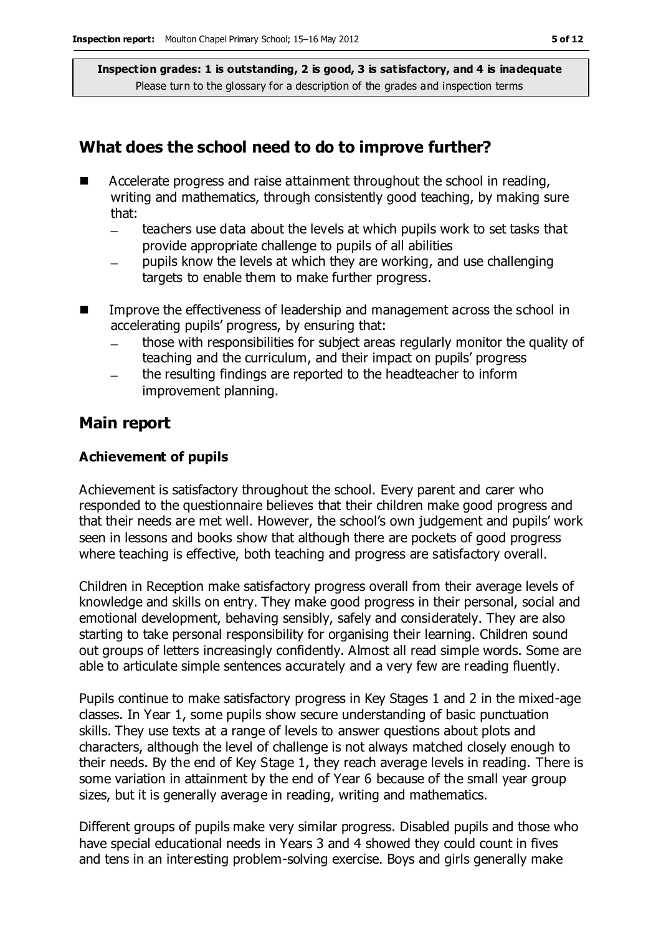### **What does the school need to do to improve further?**

- Accelerate progress and raise attainment throughout the school in reading, writing and mathematics, through consistently good teaching, by making sure that:
	- teachers use data about the levels at which pupils work to set tasks that provide appropriate challenge to pupils of all abilities
	- pupils know the levels at which they are working, and use challenging targets to enable them to make further progress.
- Improve the effectiveness of leadership and management across the school in accelerating pupils' progress, by ensuring that:
	- those with responsibilities for subject areas regularly monitor the quality of teaching and the curriculum, and their impact on pupils' progress
	- the resulting findings are reported to the headteacher to inform improvement planning.

### **Main report**

#### **Achievement of pupils**

Achievement is satisfactory throughout the school. Every parent and carer who responded to the questionnaire believes that their children make good progress and that their needs are met well. However, the school's own judgement and pupils' work seen in lessons and books show that although there are pockets of good progress where teaching is effective, both teaching and progress are satisfactory overall.

Children in Reception make satisfactory progress overall from their average levels of knowledge and skills on entry. They make good progress in their personal, social and emotional development, behaving sensibly, safely and considerately. They are also starting to take personal responsibility for organising their learning. Children sound out groups of letters increasingly confidently. Almost all read simple words. Some are able to articulate simple sentences accurately and a very few are reading fluently.

Pupils continue to make satisfactory progress in Key Stages 1 and 2 in the mixed-age classes. In Year 1, some pupils show secure understanding of basic punctuation skills. They use texts at a range of levels to answer questions about plots and characters, although the level of challenge is not always matched closely enough to their needs. By the end of Key Stage 1, they reach average levels in reading. There is some variation in attainment by the end of Year 6 because of the small year group sizes, but it is generally average in reading, writing and mathematics.

Different groups of pupils make very similar progress. Disabled pupils and those who have special educational needs in Years 3 and 4 showed they could count in fives and tens in an interesting problem-solving exercise. Boys and girls generally make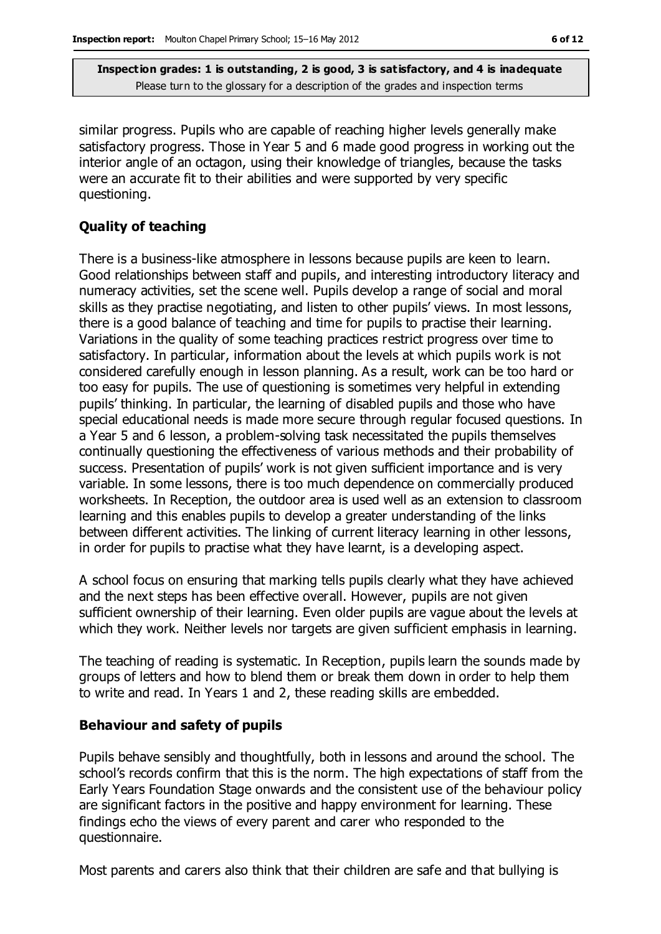similar progress. Pupils who are capable of reaching higher levels generally make satisfactory progress. Those in Year 5 and 6 made good progress in working out the interior angle of an octagon, using their knowledge of triangles, because the tasks were an accurate fit to their abilities and were supported by very specific questioning.

### **Quality of teaching**

There is a business-like atmosphere in lessons because pupils are keen to learn. Good relationships between staff and pupils, and interesting introductory literacy and numeracy activities, set the scene well. Pupils develop a range of social and moral skills as they practise negotiating, and listen to other pupils' views. In most lessons, there is a good balance of teaching and time for pupils to practise their learning. Variations in the quality of some teaching practices restrict progress over time to satisfactory. In particular, information about the levels at which pupils work is not considered carefully enough in lesson planning. As a result, work can be too hard or too easy for pupils. The use of questioning is sometimes very helpful in extending pupils' thinking. In particular, the learning of disabled pupils and those who have special educational needs is made more secure through regular focused questions. In a Year 5 and 6 lesson, a problem-solving task necessitated the pupils themselves continually questioning the effectiveness of various methods and their probability of success. Presentation of pupils' work is not given sufficient importance and is very variable. In some lessons, there is too much dependence on commercially produced worksheets. In Reception, the outdoor area is used well as an extension to classroom learning and this enables pupils to develop a greater understanding of the links between different activities. The linking of current literacy learning in other lessons, in order for pupils to practise what they have learnt, is a developing aspect.

A school focus on ensuring that marking tells pupils clearly what they have achieved and the next steps has been effective overall. However, pupils are not given sufficient ownership of their learning. Even older pupils are vague about the levels at which they work. Neither levels nor targets are given sufficient emphasis in learning.

The teaching of reading is systematic. In Reception, pupils learn the sounds made by groups of letters and how to blend them or break them down in order to help them to write and read. In Years 1 and 2, these reading skills are embedded.

#### **Behaviour and safety of pupils**

Pupils behave sensibly and thoughtfully, both in lessons and around the school. The school's records confirm that this is the norm. The high expectations of staff from the Early Years Foundation Stage onwards and the consistent use of the behaviour policy are significant factors in the positive and happy environment for learning. These findings echo the views of every parent and carer who responded to the questionnaire.

Most parents and carers also think that their children are safe and that bullying is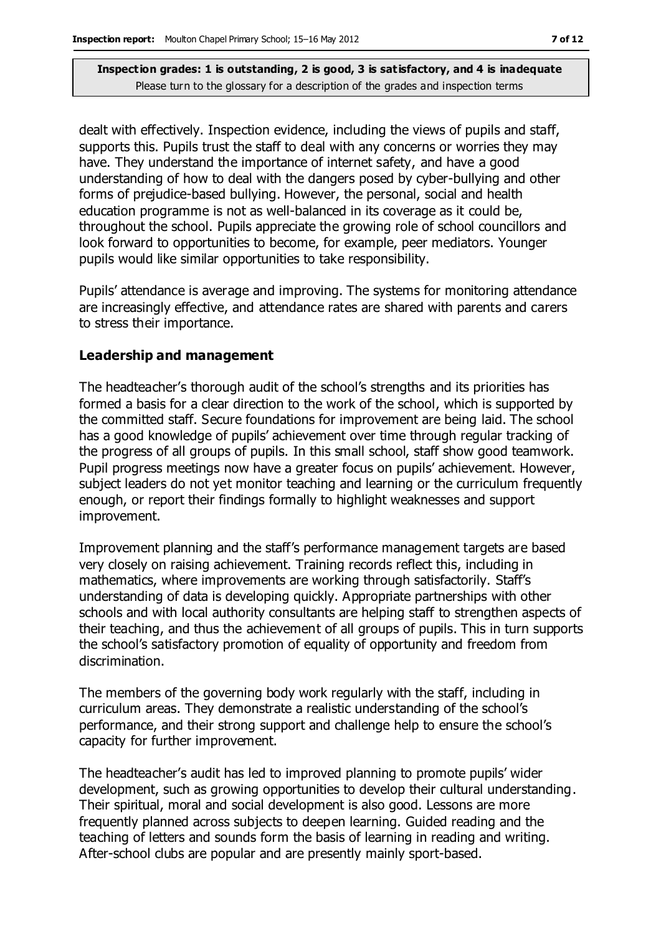dealt with effectively. Inspection evidence, including the views of pupils and staff, supports this. Pupils trust the staff to deal with any concerns or worries they may have. They understand the importance of internet safety, and have a good understanding of how to deal with the dangers posed by cyber-bullying and other forms of prejudice-based bullying. However, the personal, social and health education programme is not as well-balanced in its coverage as it could be, throughout the school. Pupils appreciate the growing role of school councillors and look forward to opportunities to become, for example, peer mediators. Younger pupils would like similar opportunities to take responsibility.

Pupils' attendance is average and improving. The systems for monitoring attendance are increasingly effective, and attendance rates are shared with parents and carers to stress their importance.

#### **Leadership and management**

The headteacher's thorough audit of the school's strengths and its priorities has formed a basis for a clear direction to the work of the school, which is supported by the committed staff. Secure foundations for improvement are being laid. The school has a good knowledge of pupils' achievement over time through regular tracking of the progress of all groups of pupils. In this small school, staff show good teamwork. Pupil progress meetings now have a greater focus on pupils' achievement. However, subject leaders do not yet monitor teaching and learning or the curriculum frequently enough, or report their findings formally to highlight weaknesses and support improvement.

Improvement planning and the staff's performance management targets are based very closely on raising achievement. Training records reflect this, including in mathematics, where improvements are working through satisfactorily. Staff's understanding of data is developing quickly. Appropriate partnerships with other schools and with local authority consultants are helping staff to strengthen aspects of their teaching, and thus the achievement of all groups of pupils. This in turn supports the school's satisfactory promotion of equality of opportunity and freedom from discrimination.

The members of the governing body work regularly with the staff, including in curriculum areas. They demonstrate a realistic understanding of the school's performance, and their strong support and challenge help to ensure the school's capacity for further improvement.

The headteacher's audit has led to improved planning to promote pupils' wider development, such as growing opportunities to develop their cultural understanding. Their spiritual, moral and social development is also good. Lessons are more frequently planned across subjects to deepen learning. Guided reading and the teaching of letters and sounds form the basis of learning in reading and writing. After-school clubs are popular and are presently mainly sport-based.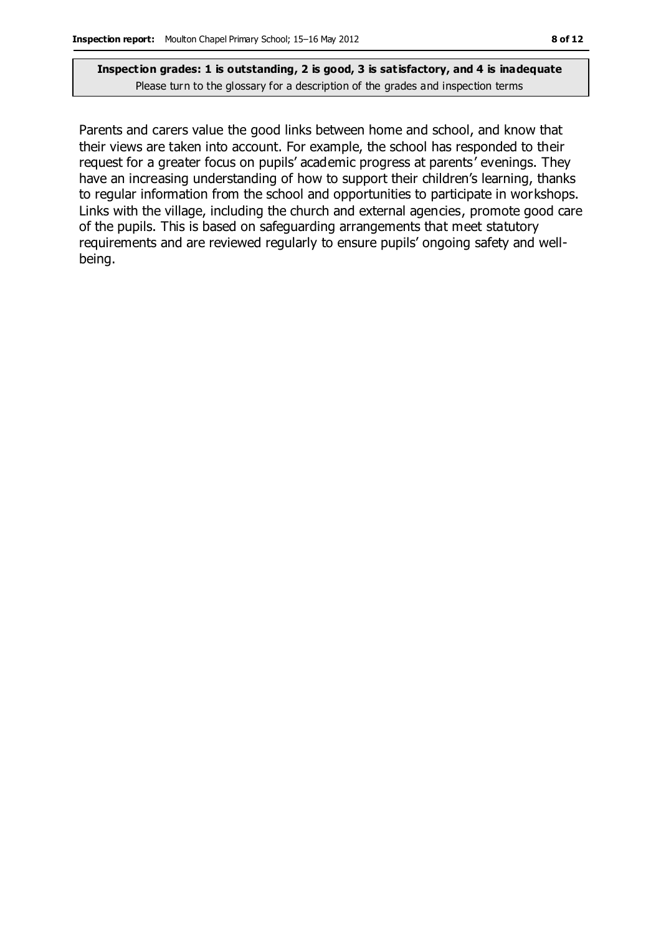Parents and carers value the good links between home and school, and know that their views are taken into account. For example, the school has responded to their request for a greater focus on pupils' academic progress at parents' evenings. They have an increasing understanding of how to support their children's learning, thanks to regular information from the school and opportunities to participate in workshops. Links with the village, including the church and external agencies, promote good care of the pupils. This is based on safeguarding arrangements that meet statutory requirements and are reviewed regularly to ensure pupils' ongoing safety and wellbeing.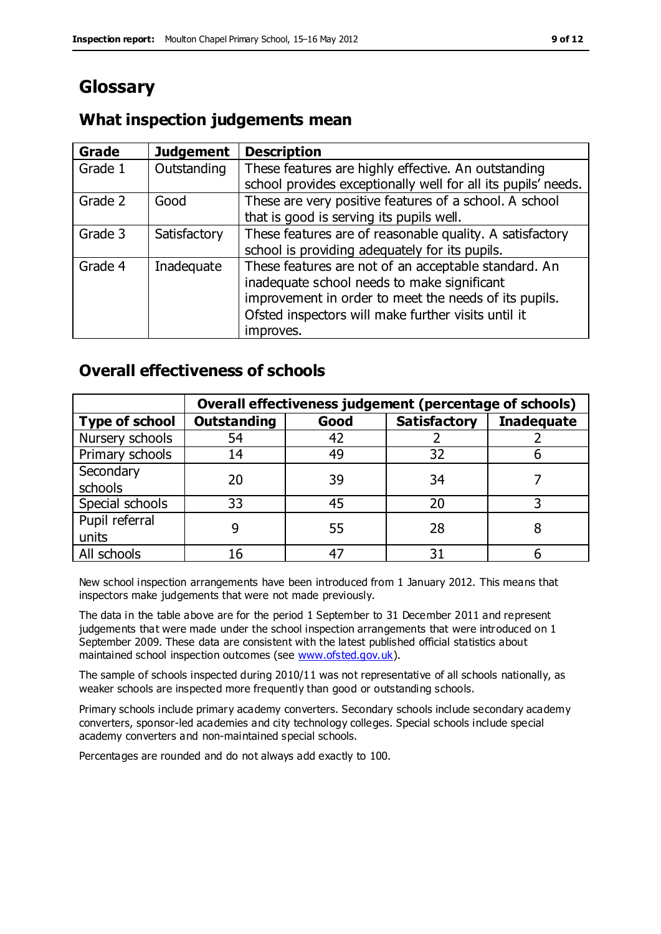# **Glossary**

### **Grade Judgement Description** Grade  $1$  | Outstanding | These features are highly effective. An outstanding school provides exceptionally well for all its pupils' needs. Grade 2 Good These are very positive features of a school. A school that is good is serving its pupils well. Grade 3  $\parallel$  Satisfactory  $\parallel$  These features are of reasonable quality. A satisfactory school is providing adequately for its pupils. Grade 4  $\parallel$  Inadequate  $\parallel$  These features are not of an acceptable standard. An inadequate school needs to make significant improvement in order to meet the needs of its pupils. Ofsted inspectors will make further visits until it improves.

# **What inspection judgements mean**

## **Overall effectiveness of schools**

|                       | Overall effectiveness judgement (percentage of schools) |      |                     |                   |
|-----------------------|---------------------------------------------------------|------|---------------------|-------------------|
| <b>Type of school</b> | <b>Outstanding</b>                                      | Good | <b>Satisfactory</b> | <b>Inadequate</b> |
| Nursery schools       | 54                                                      | 42   |                     |                   |
| Primary schools       | 14                                                      | 49   | 32                  |                   |
| Secondary             | 20                                                      | 39   | 34                  |                   |
| schools               |                                                         |      |                     |                   |
| Special schools       | 33                                                      | 45   | 20                  |                   |
| Pupil referral        |                                                         | 55   | 28                  |                   |
| units                 |                                                         |      |                     |                   |
| All schools           |                                                         |      | م -                 |                   |

New school inspection arrangements have been introduced from 1 January 2012. This means that inspectors make judgements that were not made previously.

The data in the table above are for the period 1 September to 31 December 2011 and represent judgements that were made under the school inspection arrangements that were introduced on 1 September 2009. These data are consistent with the latest published official statistics about maintained school inspection outcomes (see [www.ofsted.gov.uk\)](http://www.ofsted.gov.uk/).

The sample of schools inspected during 2010/11 was not representative of all schools nationally, as weaker schools are inspected more frequently than good or outstanding schools.

Primary schools include primary academy converters. Secondary schools include secondary academy converters, sponsor-led academies and city technology colleges. Special schools include special academy converters and non-maintained special schools.

Percentages are rounded and do not always add exactly to 100.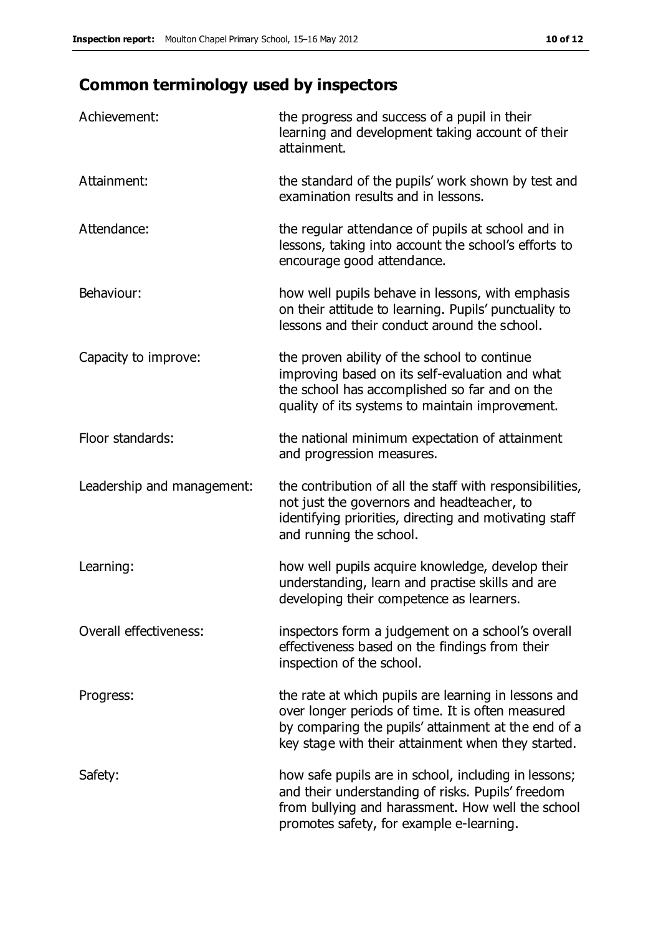# **Common terminology used by inspectors**

| Achievement:               | the progress and success of a pupil in their<br>learning and development taking account of their<br>attainment.                                                                                                        |
|----------------------------|------------------------------------------------------------------------------------------------------------------------------------------------------------------------------------------------------------------------|
| Attainment:                | the standard of the pupils' work shown by test and<br>examination results and in lessons.                                                                                                                              |
| Attendance:                | the regular attendance of pupils at school and in<br>lessons, taking into account the school's efforts to<br>encourage good attendance.                                                                                |
| Behaviour:                 | how well pupils behave in lessons, with emphasis<br>on their attitude to learning. Pupils' punctuality to<br>lessons and their conduct around the school.                                                              |
| Capacity to improve:       | the proven ability of the school to continue<br>improving based on its self-evaluation and what<br>the school has accomplished so far and on the<br>quality of its systems to maintain improvement.                    |
| Floor standards:           | the national minimum expectation of attainment<br>and progression measures.                                                                                                                                            |
| Leadership and management: | the contribution of all the staff with responsibilities,<br>not just the governors and headteacher, to<br>identifying priorities, directing and motivating staff<br>and running the school.                            |
| Learning:                  | how well pupils acquire knowledge, develop their<br>understanding, learn and practise skills and are<br>developing their competence as learners.                                                                       |
| Overall effectiveness:     | inspectors form a judgement on a school's overall<br>effectiveness based on the findings from their<br>inspection of the school.                                                                                       |
| Progress:                  | the rate at which pupils are learning in lessons and<br>over longer periods of time. It is often measured<br>by comparing the pupils' attainment at the end of a<br>key stage with their attainment when they started. |
| Safety:                    | how safe pupils are in school, including in lessons;<br>and their understanding of risks. Pupils' freedom<br>from bullying and harassment. How well the school<br>promotes safety, for example e-learning.             |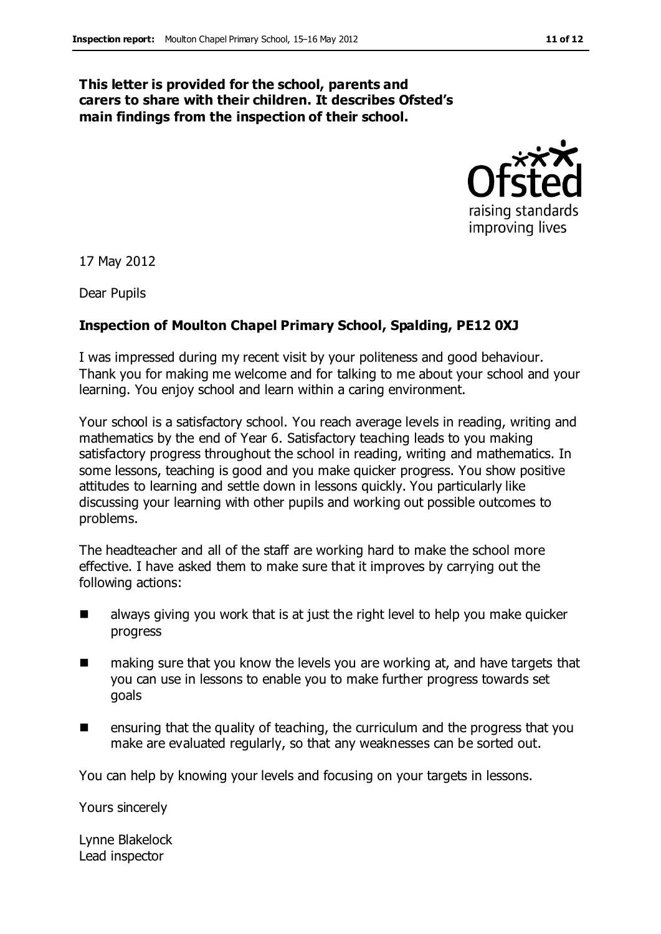# **This letter is provided for the school, parents and carers to share with their children. It describes Ofsted's**

**main findings from the inspection of their school.**



17 May 2012

Dear Pupils

### **Inspection of Moulton Chapel Primary School, Spalding, PE12 0XJ**

I was impressed during my recent visit by your politeness and good behaviour. Thank you for making me welcome and for talking to me about your school and your learning. You enjoy school and learn within a caring environment.

Your school is a satisfactory school. You reach average levels in reading, writing and mathematics by the end of Year 6. Satisfactory teaching leads to you making satisfactory progress throughout the school in reading, writing and mathematics. In some lessons, teaching is good and you make quicker progress. You show positive attitudes to learning and settle down in lessons quickly. You particularly like discussing your learning with other pupils and working out possible outcomes to problems.

The headteacher and all of the staff are working hard to make the school more effective. I have asked them to make sure that it improves by carrying out the following actions:

- always giving you work that is at just the right level to help you make quicker progress
- making sure that you know the levels you are working at, and have targets that you can use in lessons to enable you to make further progress towards set goals
- **E** ensuring that the quality of teaching, the curriculum and the progress that you make are evaluated regularly, so that any weaknesses can be sorted out.

You can help by knowing your levels and focusing on your targets in lessons.

Yours sincerely

Lynne Blakelock Lead inspector